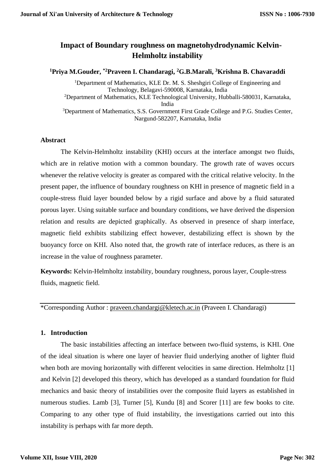# **Impact of Boundary roughness on magnetohydrodynamic Kelvin-Helmholtz instability**

**<sup>1</sup>Priya M.Gouder, \*2Praveen I. Chandaragi, <sup>2</sup>G.B.Marali, <sup>3</sup>Krishna B. Chavaraddi**

<sup>1</sup>Department of Mathematics, KLE Dr. M. S. Sheshgiri College of Engineering and Technology, Belagavi-590008, Karnataka, India <sup>2</sup>Department of Mathematics, KLE Technological University, Hubballi-580031, Karnataka, India <sup>3</sup>Department of Mathematics, S.S. Government First Grade College and P.G. Studies Center, Nargund-582207, Karnataka, India

# **Abstract**

The Kelvin-Helmholtz instability (KHI) occurs at the interface amongst two fluids, which are in relative motion with a common boundary. The growth rate of waves occurs whenever the relative velocity is greater as compared with the critical relative velocity. In the present paper, the influence of boundary roughness on KHI in presence of magnetic field in a couple-stress fluid layer bounded below by a rigid surface and above by a fluid saturated porous layer. Using suitable surface and boundary conditions, we have derived the dispersion relation and results are depicted graphically. As observed in presence of sharp interface, magnetic field exhibits stabilizing effect however, destabilizing effect is shown by the buoyancy force on KHI. Also noted that, the growth rate of interface reduces, as there is an increase in the value of roughness parameter.

**Keywords:** Kelvin-Helmholtz instability, boundary roughness, porous layer, Couple-stress fluids, magnetic field.

\*Corresponding Author : [praveen.chandargi@kletech.ac.in](mailto:praveen.chandargi@kletech.ac.in) (Praveen I. Chandaragi)

# **1. Introduction**

The basic instabilities affecting an interface between two-fluid systems, is KHI. One of the ideal situation is where one layer of heavier fluid underlying another of lighter fluid when both are moving horizontally with different velocities in same direction. Helmholtz [1] and Kelvin [2] developed this theory, which has developed as a standard foundation for fluid mechanics and basic theory of instabilities over the composite fluid layers as established in numerous studies. Lamb [3], Turner [5], Kundu [8] and Scorer [11] are few books to cite. Comparing to any other type of fluid instability, the investigations carried out into this instability is perhaps with far more depth.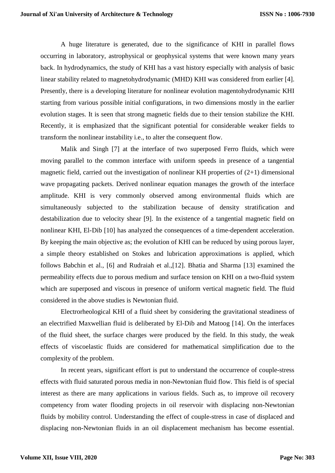A huge literature is generated, due to the significance of KHI in parallel flows occurring in laboratory, astrophysical or geophysical systems that were known many years back. In hydrodynamics, the study of KHI has a vast history especially with analysis of basic linear stability related to magnetohydrodynamic (MHD) KHI was considered from earlier [4]. Presently, there is a developing literature for nonlinear evolution magentohydrodynamic KHI starting from various possible initial configurations, in two dimensions mostly in the earlier evolution stages. It is seen that strong magnetic fields due to their tension stabilize the KHI. Recently, it is emphasized that the significant potential for considerable weaker fields to transform the nonlinear instability i.e., to alter the consequent flow.

Malik and Singh [7] at the interface of two superposed Ferro fluids, which were moving parallel to the common interface with uniform speeds in presence of a tangential magnetic field, carried out the investigation of nonlinear KH properties of  $(2+1)$  dimensional wave propagating packets. Derived nonlinear equation manages the growth of the interface amplitude. KHI is very commonly observed among environmental fluids which are simultaneously subjected to the stabilization because of density stratification and destabilization due to velocity shear [9]. In the existence of a tangential magnetic field on nonlinear KHI, El-Dib [10] has analyzed the consequences of a time-dependent acceleration. By keeping the main objective as; the evolution of KHI can be reduced by using porous layer, a simple theory established on Stokes and lubrication approximations is applied, which follows Babchin et al., [6] and Rudraiah et al.,[12]. Bhatia and Sharma [13] examined the permeability effects due to porous medium and surface tension on KHI on a two-fluid system which are superposed and viscous in presence of uniform vertical magnetic field. The fluid considered in the above studies is Newtonian fluid.

Electrorheological KHI of a fluid sheet by considering the gravitational steadiness of an electrified Maxwellian fluid is deliberated by El-Dib and Matoog [14]. On the interfaces of the fluid sheet, the surface charges were produced by the field. In this study, the weak effects of viscoelastic fluids are considered for mathematical simplification due to the complexity of the problem.

In recent years, significant effort is put to understand the occurrence of couple-stress effects with fluid saturated porous media in non-Newtonian fluid flow. This field is of special interest as there are many applications in various fields. Such as, to improve oil recovery competency from water flooding projects in oil reservoir with displacing non-Newtonian fluids by mobility control. Understanding the effect of couple-stress in case of displaced and displacing non-Newtonian fluids in an oil displacement mechanism has become essential.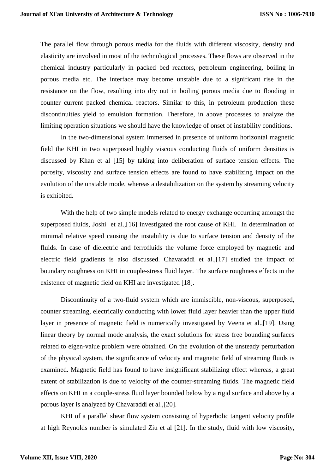The parallel flow through porous media for the fluids with different viscosity, density and elasticity are involved in most of the technological processes. These flows are observed in the chemical industry particularly in packed bed reactors, petroleum engineering, boiling in porous media etc. The interface may become unstable due to a significant rise in the resistance on the flow, resulting into dry out in boiling porous media due to flooding in counter current packed chemical reactors. Similar to this, in petroleum production these discontinuities yield to emulsion formation. Therefore, in above processes to analyze the limiting operation situations we should have the knowledge of onset of instability conditions.

In the two-dimensional system immersed in presence of uniform horizontal magnetic field the KHI in two superposed highly viscous conducting fluids of uniform densities is discussed by Khan et al [15] by taking into deliberation of surface tension effects. The porosity, viscosity and surface tension effects are found to have stabilizing impact on the evolution of the unstable mode, whereas a destabilization on the system by streaming velocity is exhibited.

With the help of two simple models related to energy exchange occurring amongst the superposed fluids, Joshi et al.,[16] investigated the root cause of KHI. In determination of minimal relative speed causing the instability is due to surface tension and density of the fluids. In case of dielectric and ferrofluids the volume force employed by magnetic and electric field gradients is also discussed. Chavaraddi et al.,[17] studied the impact of boundary roughness on KHI in couple-stress fluid layer. The surface roughness effects in the existence of magnetic field on KHI are investigated [18].

Discontinuity of a two-fluid system which are immiscible, non-viscous, superposed, counter streaming, electrically conducting with lower fluid layer heavier than the upper fluid layer in presence of magnetic field is numerically investigated by Veena et al.,[19]. Using linear theory by normal mode analysis, the exact solutions for stress free bounding surfaces related to eigen-value problem were obtained. On the evolution of the unsteady perturbation of the physical system, the significance of velocity and magnetic field of streaming fluids is examined. Magnetic field has found to have insignificant stabilizing effect whereas, a great extent of stabilization is due to velocity of the counter-streaming fluids. The magnetic field effects on KHI in a couple-stress fluid layer bounded below by a rigid surface and above by a porous layer is analyzed by Chavaraddi et al.,[20].

KHI of a parallel shear flow system consisting of hyperbolic tangent velocity profile at high Reynolds number is simulated Ziu et al [21]. In the study, fluid with low viscosity,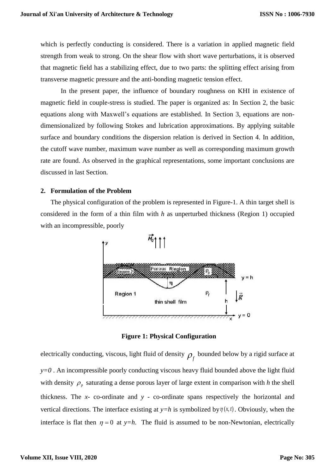which is perfectly conducting is considered. There is a variation in applied magnetic field strength from weak to strong. On the shear flow with short wave perturbations, it is observed that magnetic field has a stabilizing effect, due to two parts: the splitting effect arising from transverse magnetic pressure and the anti-bonding magnetic tension effect.

In the present paper, the influence of boundary roughness on KHI in existence of magnetic field in couple-stress is studied. The paper is organized as: In Section 2, the basic equations along with Maxwell's equations are established. In Section 3, equations are nondimensionalized by following Stokes and lubrication approximations. By applying suitable surface and boundary conditions the dispersion relation is derived in Section 4. In addition, the cutoff wave number, maximum wave number as well as corresponding maximum growth rate are found. As observed in the graphical representations, some important conclusions are discussed in last Section.

# **2. Formulation of the Problem**

The physical configuration of the problem is represented in Figure-1. A thin target shell is considered in the form of a thin film with *h* as unperturbed thickness (Region 1) occupied with an incompressible, poorly



**Figure 1: Physical Configuration**

electrically conducting, viscous, light fluid of density  $\rho_f^{\beta}$  bounded below by a rigid surface at  $y=0$ . An incompressible poorly conducting viscous heavy fluid bounded above the light fluid with density  $\rho$ <sub>p</sub> saturating a dense porous layer of large extent in comparison with *h* the shell thickness. The *x*- co-ordinate and *y* - co-ordinate spans respectively the horizontal and vertical directions. The interface existing at  $y=h$  is symbolized by  $\eta(x,t)$ . Obviously, when the interface is flat then  $\eta = 0$  at  $y=h$ . The fluid is assumed to be non-Newtonian, electrically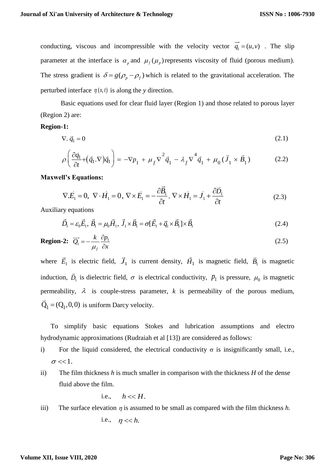conducting, viscous and incompressible with the velocity vector  $q_1 = (u, v)$ . The slip parameter at the interface is  $\alpha_p$  and  $\mu_f(\mu_p)$  represents viscosity of fluid (porous medium). The stress gradient is  $\delta = g(\rho_p - \rho_f)$  which is related to the gravitational acceleration. The perturbed interface  $\eta(x, t)$  is along the *y* direction.

Basic equations used for clear fluid layer (Region 1) and those related to porous layer (Region 2) are:

# **Region-1:**

$$
\nabla. \vec{q}_1 = 0 \tag{2.1}
$$

$$
\rho \left( \frac{\partial \vec{q}_1}{\partial t} + (\vec{q}_1 \cdot \nabla) \vec{q}_1 \right) = -\nabla p_1 + \mu_f \nabla^2 \vec{q}_1 - \lambda_f \nabla^4 \vec{q}_1 + \mu_0 (\vec{J}_1 \times \vec{B}_1)
$$
(2.2)

**Maxwell's Equations:** 

$$
\nabla \cdot \vec{E}_1 = 0, \ \nabla \cdot \vec{H}_1 = 0, \ \nabla \times \vec{E}_1 = -\frac{\partial \vec{B}_1}{\partial t}, \ \nabla \times \vec{H}_1 = \vec{J}_1 + \frac{\partial \vec{D}_1}{\partial t}
$$
(2.3)

Auxiliary equations

$$
\vec{D}_1 = \varepsilon_0 \vec{E}_1, \ \vec{B}_1 = \mu_0 \vec{H}_1, \ \vec{J}_1 \times \vec{B}_1 = \sigma [\vec{E}_1 + \vec{q}_1 \times \vec{B}_1] \times \vec{B}_1
$$
\n(2.4)

$$
\text{Region-2:} \quad \overrightarrow{Q_1} = -\frac{k}{\mu_f} \frac{\partial p_1}{\partial x} \tag{2.5}
$$

where  $\vec{E}_1$  is electric field,  $\vec{J}_1$  is current density,  $\vec{H}_1$  is magnetic field,  $\vec{B}_1$  is magnetic induction,  $\bar{D}_1$  is dielectric field,  $\sigma$  is electrical conductivity,  $p_1$  is pressure,  $\mu_0$  is magnetic permeability,  $\lambda$  is couple-stress parameter,  $k$  is permeability of the porous medium,  $Q_1 = (Q_1, 0, 0)$  is uniform Darcy velocity.

To simplify basic equations Stokes and lubrication assumptions and electro hydrodynamic approximations (Rudraiah et al [13]) are considered as follows:

- i) For the liquid considered, the electrical conductivity  $\sigma$  is insignificantly small, i.e.,  $\sigma \ll 1$ .
- ii) The film thickness *h* is much smaller in comparison with the thickness *H* of the dense fluid above the film.

i.e., 
$$
h \ll H
$$
.

iii) The surface elevation  $\eta$  is assumed to be small as compared with the film thickness  $h$ .

i.e., 
$$
\eta \ll h
$$
.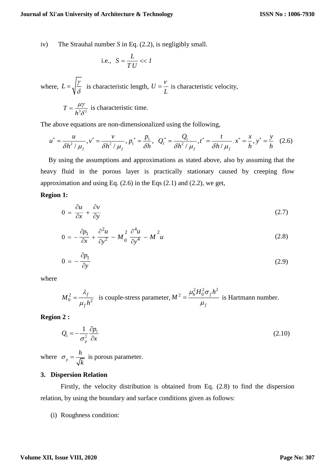iv) The Strauhal number *S* in Eq. (2.2), is negligibly small.

i.e., 
$$
S = \frac{L}{TU} \ll 1
$$

where,  $L = \sqrt{\frac{\gamma}{c}}$  $=\sqrt{\frac{7}{\delta}}$  is characteristic length, U *L*  $=\frac{V}{I}$  is characteristic velocity,

$$
T = \frac{\mu \gamma}{h^3 \delta^2}
$$
 is characteristic time.

The above equations are non-dimensionalized using the following,

$$
u^* = \frac{u}{\delta h^2 / \mu_f}, v^* = \frac{v}{\delta h^2 / \mu_f}, p_1^* = \frac{p_1}{\delta h}, Q_1^* = \frac{Q_1}{\delta h^2 / \mu_f}, t^* = \frac{t}{\delta h / \mu_f}, x^* = \frac{x}{h}, y^* = \frac{y}{h}
$$
(2.6)

By using the assumptions and approximations as stated above, also by assuming that the heavy fluid in the porous layer is practically stationary caused by creeping flow approximation and using Eq.  $(2.6)$  in the Eqs  $(2.1)$  and  $(2.2)$ , we get,

# **Region 1:**

$$
0 = \frac{\partial u}{\partial x} + \frac{\partial v}{\partial y} \tag{2.7}
$$

$$
0 = -\frac{\partial p_1}{\partial x} + \frac{\partial^2 u}{\partial y^2} - M_0^2 \frac{\partial^4 u}{\partial y^4} - M^2 u \tag{2.8}
$$

$$
0 = -\frac{\partial p_1}{\partial y} \tag{2.9}
$$

where

$$
M_0^2 = \frac{\lambda_f}{\mu_f h^2}
$$
 is couple-stress parameter,  $M^2 = \frac{\mu_h^2 H_0^2 \sigma_f h^2}{\mu_f}$  is Hartmann number.

**Region 2 :**

$$
Q_{1} = -\frac{1}{\sigma_{p}^{2}} \frac{\partial p_{1}}{\partial x}
$$
 (2.10)

where  $\sigma_p$ *h k*  $\sigma_n = \frac{n}{\sqrt{n}}$  is porous parameter.

# **3. Dispersion Relation**

Firstly, the velocity distribution is obtained from Eq. (2.8) to find the dispersion relation, by using the boundary and surface conditions given as follows:

(i) Roughness condition: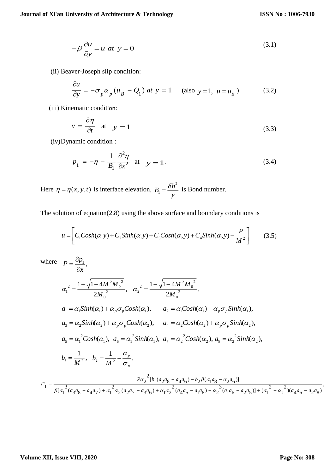$$
-\beta \frac{\partial u}{\partial y} = u \, \text{ at } y = 0 \tag{3.1}
$$

(ii) Beaver-Joseph slip condition:

$$
\frac{\partial u}{\partial y} = -\sigma_p \alpha_p (u_B - Q_1) \text{ at } y = 1 \quad \text{(also } y = 1, u = u_B)
$$
 (3.2)

(iii) Kinematic condition:

$$
v = \frac{\partial \eta}{\partial t} \quad \text{at} \quad y = 1 \tag{3.3}
$$

(iv)Dynamic condition :

$$
p_1 = -\eta - \frac{1}{B_1} \frac{\partial^2 \eta}{\partial x^2} \quad \text{at} \quad y = 1. \tag{3.4}
$$

Here  $\eta = \eta(x, y, t)$  is interface elevation,  $B_1 = \frac{\delta h^2}{2\pi}$ 1  $B = \frac{\delta h}{h}$ γ  $=\frac{on}{n}$  is Bond number.

The solution of equation(2.8) using the above surface and boundary conditions is

$$
u = \left[ C_1 \text{Cosh}(\alpha_1 y) + C_2 \text{Sinh}(\alpha_1 y) + C_3 \text{Cosh}(\alpha_2 y) + C_4 \text{Sinh}(\alpha_2 y) - \frac{P}{M^2} \right] \tag{3.5}
$$

where 
$$
P = \frac{\partial p_1}{\partial x}
$$
,  
\n
$$
\alpha_1^2 = \frac{1 + \sqrt{1 - 4M^2 M_0^2}}{2M_0^2}, \quad \alpha_2^2 = \frac{1 - \sqrt{1 - 4M^2 M_0^2}}{2M_0^2},
$$
\n
$$
a_1 = \alpha_1 \sinh(\alpha_1) + \alpha_p \sigma_p \cosh(\alpha_1), \qquad a_2 = \alpha_1 \cosh(\alpha_1) + \alpha_p \sigma_p \sinh(\alpha_1),
$$
\n
$$
a_3 = \alpha_2 \sinh(\alpha_2) + \alpha_p \sigma_p \cosh(\alpha_2), \qquad a_4 = \alpha_2 \cosh(\alpha_2) + \alpha_p \sigma_p \sinh(\alpha_2),
$$
\n
$$
a_5 = \alpha_1^2 \cosh(\alpha_1), \quad a_6 = \alpha_1^2 \sinh(\alpha_1), \quad a_7 = \alpha_2^2 \cosh(\alpha_2), \quad a_8 = \alpha_2^2 \sinh(\alpha_2),
$$
\n
$$
b_1 = \frac{1}{M^2}, \quad b_2 = \frac{1}{M^2} - \frac{\alpha_p}{\sigma_p},
$$
\n
$$
c_1 = \frac{P\alpha_2^2 [b_1(\alpha_2 a_8 - a_4 a_6) - b_2 \beta(\alpha_1 a_8 - a_2 a_6)]}{\beta[\alpha_1^3(\alpha_3 a_8 - a_4 a_7) + \alpha_1^2 \alpha_2 (\alpha_2 a_7 - a_3 a_6) + \alpha_1 \alpha_2^2 (\alpha_4 a_5 - a_1 a_8) + \alpha_2^3 (\alpha_1 a_6 - a_2 a_5)] + (\alpha_1^2 - \alpha_2^2)(a_4 a_6 - a_2 a_8)}.
$$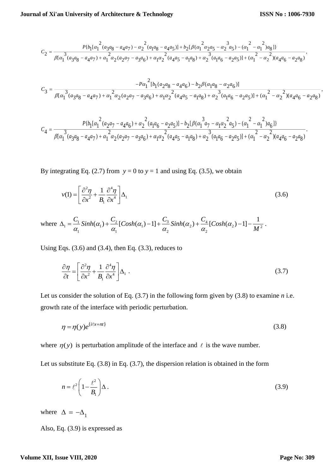$$
C_2 = \frac{P\{b_1 \left[\alpha_1^{2} \left(a_3 a_8 - a_4 a_7\right) - \alpha_2^{2} \left(a_1 a_8 - a_4 a_5\right)\right] + b_2 \left[\beta \left(\alpha_1^{2} \alpha_2 a_5 - \alpha_2^{3} a_5\right) - \left(\alpha_1^{2} - \alpha_1^{2}\right) a_8\right]\right]}{\beta \left[\alpha_1^{3} \left(a_3 a_8 - a_4 a_7\right) + \alpha_1^{2} \alpha_2 (a_2 a_7 - a_3 a_6) + \alpha_1 \alpha_2^{2} \left(a_4 a_5 - a_1 a_8\right) + \alpha_2^{3} \left(a_1 a_6 - a_2 a_5\right)\right] + \left(\alpha_1^{2} - \alpha_2^{2}\right) \left(a_4 a_6 - a_2 a_8\right)},
$$

$$
C_3=\frac{-p\alpha_1^2[b_1(a_2a_8-a_4a_6)-b_2\beta(\alpha_1a_8-a_2a_6)]}{\beta[\alpha_1^3(a_3a_8-a_4a_7)+\alpha_1^2\alpha_2(a_2a_7-a_3a_6)+\alpha_1\alpha_2^2(a_4a_5-a_1a_8)+\alpha_2^3(a_1a_6-a_2a_5)]+(\alpha_1^2-\alpha_2^2)(a_4a_6-a_2a_8)},
$$

$$
C_4=\frac{P\{b_1[\alpha_1^{2}(a_2a_7-a_4a_6)+\alpha_2^{2}(a_1a_6-a_2a_5)]-b_2[\beta(\alpha_1^{3}a_7-\alpha_1\alpha_2^{2}a_5)-(\alpha_1^{2}-\alpha_1^{2})a_6]\}}{\beta[\alpha_1^{3}(a_3a_8-a_4a_7)+\alpha_1^{2}\alpha_2(a_2a_7-a_3a_6)+\alpha_1\alpha_2^{2}(a_4a_5-a_1a_8)+\alpha_2^{3}(a_1a_6-a_2a_5)]+(\alpha_1^{2}-\alpha_2^{2})(a_4a_6-a_2a_8)}.
$$

By integrating Eq. (2.7) from  $y = 0$  to  $y = 1$  and using Eq. (3.5), we obtain

$$
v(1) = \left[\frac{\partial^2 \eta}{\partial x^2} + \frac{1}{B_1} \frac{\partial^4 \eta}{\partial x^4}\right] \Delta_1
$$
\n(3.6)

where 
$$
\Delta_1 = \frac{C_1}{\alpha_1} \sinh(\alpha_1) + \frac{C_2}{\alpha_1} [\cosh(\alpha_1) - 1] + \frac{C_3}{\alpha_2} \sinh(\alpha_2) + \frac{C_4}{\alpha_2} [\cosh(\alpha_2) - 1] - \frac{1}{M^2}
$$
.

Using Eqs.  $(3.6)$  and  $(3.4)$ , then Eq.  $(3.3)$ , reduces to

$$
\frac{\partial \eta}{\partial t} = \left[ \frac{\partial^2 \eta}{\partial x^2} + \frac{1}{B_1} \frac{\partial^4 \eta}{\partial x^4} \right] \Delta_1 \tag{3.7}
$$

Let us consider the solution of Eq.  $(3.7)$  in the following form given by  $(3.8)$  to examine *n* i.e. growth rate of the interface with periodic perturbation.

$$
\eta = \eta(y)e^{\{i\ell x + nt\}}\tag{3.8}
$$

where  $\eta(y)$  is perturbation amplitude of the interface and  $\ell$  is the wave number.

Let us substitute Eq. (3.8) in Eq. (3.7), the dispersion relation is obtained in the form

$$
n = \ell^2 \left( 1 - \frac{\ell^2}{B_1} \right) \Delta \,. \tag{3.9}
$$

where  $\Delta = -\Delta_1$ 

Also, Eq. (3.9) is expressed as

#### **Volume XII, Issue VIII, 2020**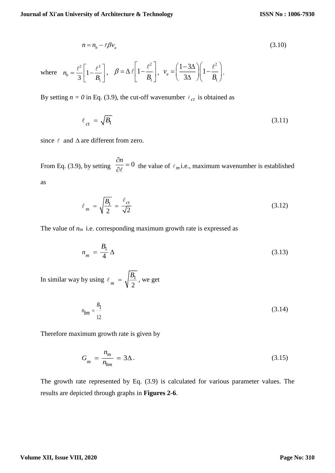$$
n = n_b - \ell \beta v_a \tag{3.10}
$$

where 2  $\sqrt{2}$ 1 1  $n_b = \frac{c}{3}$ *B*  $\begin{bmatrix} 1 & \ell^2 \end{bmatrix}$  $=\frac{\epsilon}{3}\left[1-\frac{\epsilon}{B_1}\right],$ 2 1 1  $\beta = \Delta \ell \left| 1 - \frac{B}{B} \right|$  $=\Delta \ell \left[1-\frac{\ell^2}{B_1}\right],$ 2 1  $\frac{1-3\Delta}{1}$ || 1  $v_a = \left(\frac{\overline{3\Delta}}{3\Delta}\right)\left(1 - \frac{\overline{B}}{B}\right)$  $(1-3\Delta)\begin{pmatrix} 2 \end{pmatrix}$  $=\left(\frac{1}{3\Delta}\right)\left(1-\frac{1}{B_1}\right).$ 

By setting  $n = 0$  in Eq. (3.9), the cut-off wavenumber  $\ell_{ct}$  is obtained as

$$
\ell_{ct} = \sqrt{B_1} \tag{3.11}
$$

since  $\ell$  and  $\Delta$  are different from zero.

From Eq. (3.9), by setting  $\frac{\partial u}{\partial \theta} = 0$ д д l  $\frac{n}{n^{\alpha}} = 0$  the value of  $\ell_m$  i.e., maximum wavenumber is established as

$$
\ell_m = \sqrt{\frac{B_1}{2}} = \frac{\ell_{ct}}{\sqrt{2}} \tag{3.12}
$$

The value of  $n<sub>m</sub>$  i.e. corresponding maximum growth rate is expressed as

$$
n_m = \frac{B_1}{4} \Delta \tag{3.13}
$$

In similar way by using  $\ell_m = \sqrt{\frac{D_1}{2}}$ 2 *m*  $=\sqrt{\frac{B_1}{2}}$ , we get

$$
n_{bm} = \frac{B_1}{12} \tag{3.14}
$$

Therefore maximum growth rate is given by

$$
G_m = \frac{n_m}{n_{bm}} = 3\Delta. \tag{3.15}
$$

The growth rate represented by Eq. (3.9) is calculated for various parameter values. The results are depicted through graphs in **Figures 2-6**.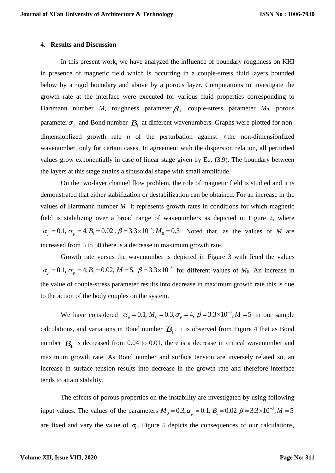# **4. Results and Discussion**

In this present work, we have analyzed the influence of boundary roughness on KHI in presence of magnetic field which is occurring in a couple-stress fluid layers bounded below by a rigid boundary and above by a porous layer. Computations to investigate the growth rate at the interface were executed for various fluid properties corresponding to Hartmann number *M*, roughness parameter  $\beta$ , couple-stress parameter *M*<sup>0</sup>*,* porous parameter  $\sigma_p$  and Bond number  $B_1$  at different wavenumbers. Graphs were plotted for nondimensionlized growth rate  $n$  of the perturbation against  $\ell$  the non-dimensionlized wavenumber, only for certain cases. In agreement with the dispersion relation, all perturbed values grow exponentially in case of linear stage given by Eq. (3.9). The boundary between the layers at this stage attains a sinusoidal shape with small amplitude.

On the two-layer channel flow problem, the role of magnetic field is studied and it is demonstrated that either stabilization or destabilization can be obtained. For an increase in the values of Hartmann number *M* it represents growth rates in conditions for which magnetic field is stabilizing over a broad range of wavenumbers as depicted in Figure 2, where  $\alpha_p = 0.1, \sigma_p = 4, B_1 = 0.02, \beta = 3.3 \times 10^{-3}, M_0 = 0.3$ . Noted that, as the values of *M* are increased from 5 to 50 there is a decrease in maximum growth rate.

Growth rate versus the wavenumber is depicted in Figure 3 with fixed the values 3  $\alpha_p = 0.1$ ,  $\sigma_p = 4$ ,  $B_1 = 0.02$ ,  $M = 5$ ,  $\beta = 3.3 \times 10^{-3}$  for different values of  $M_0$ . An increase in the value of couple-stress parameter results into decrease in maximum growth rate this is due to the action of the body couples on the system.

We have considered  $\alpha_n = 0.1$ ,  $M_0 = 0.3$ ,  $\sigma_n = 4$ ,  $\beta = 3.3 \times 10^{-3}$  $\alpha_p = 0.1, M_0 = 0.3, \sigma_p = 4, \beta = 3.3 \times 10^{-3}, M = 5$  in our sample calculations, and variations in Bond number  $B_1$ . It is observed from Figure 4 that as Bond number  $B_1$  is decreased from 0.04 to 0.01, there is a decrease in critical wavenumber and maximum growth rate. As Bond number and surface tension are inversely related so, an increase in surface tension results into decrease in the growth rate and therefore interface tends to attain stability.

The effects of porous properties on the instability are investigated by using following input values. The values of the parameters  $M_0 = 0.3$ ,  $\alpha_p = 0.1$ ,  $B_1 = 0.02$   $\beta = 3.3 \times 10^{-3}$ ,  $M = 5$ are fixed and vary the value of  $\sigma_p$ . Figure 5 depicts the consequences of our calculations,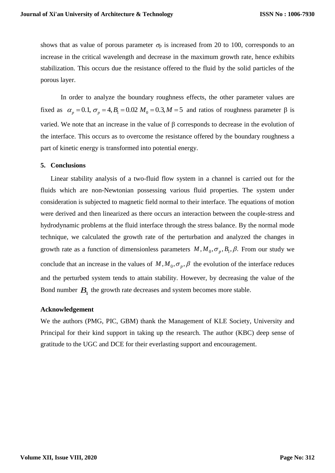shows that as value of porous parameter  $\sigma_p$  is increased from 20 to 100, corresponds to an increase in the critical wavelength and decrease in the maximum growth rate, hence exhibits stabilization. This occurs due the resistance offered to the fluid by the solid particles of the porous layer.

In order to analyze the boundary roughness effects, the other parameter values are In order to analyze the boundary roughness effects, the other parameter values are fixed as  $\alpha_p = 0.1$ ,  $\sigma_p = 4$ ,  $B_1 = 0.02$   $M_0 = 0.3$ ,  $M = 5$  and ratios of roughness parameter  $\beta$  is varied. We note that an increase in the value of  $\beta$  corresponds to decrease in the evolution of the interface. This occurs as to overcome the resistance offered by the boundary roughness a part of kinetic energy is transformed into potential energy.

# **5. Conclusions**

Linear stability analysis of a two-fluid flow system in a channel is carried out for the fluids which are non-Newtonian possessing various fluid properties. The system under consideration is subjected to magnetic field normal to their interface. The equations of motion were derived and then linearized as there occurs an interaction between the couple-stress and hydrodynamic problems at the fluid interface through the stress balance. By the normal mode technique, we calculated the growth rate of the perturbation and analyzed the changes in growth rate as a function of dimensionless parameters  $M, M_0, \sigma_p, B_1, \beta$ . From our study we conclude that an increase in the values of  $M, M_0, \sigma_p, \beta$  the evolution of the interface reduces and the perturbed system tends to attain stability. However, by decreasing the value of the Bond number  $B_1$  the growth rate decreases and system becomes more stable.

# **Acknowledgement**

We the authors (PMG, PIC, GBM) thank the Management of KLE Society, University and Principal for their kind support in taking up the research. The author (KBC) deep sense of gratitude to the UGC and DCE for their everlasting support and encouragement.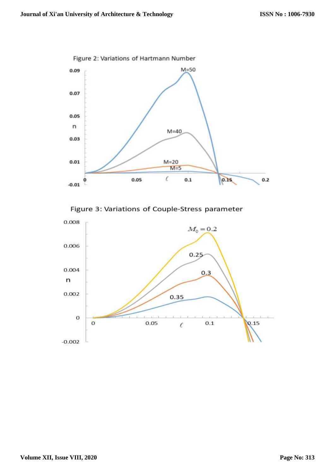

Figure 3: Variations of Couple-Stress parameter

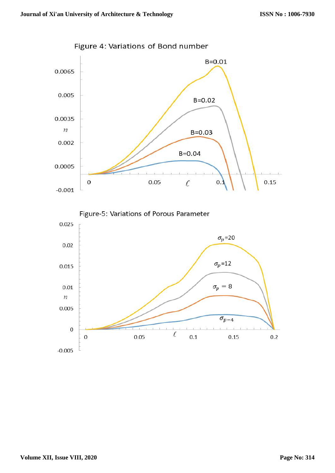



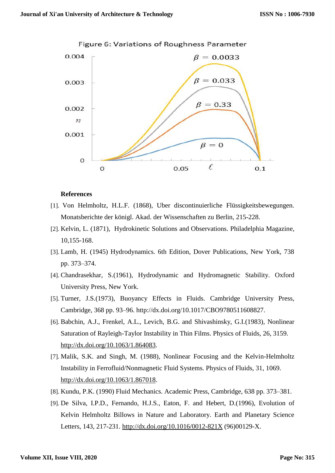

# Figure 6: Variations of Roughness Parameter

# **References**

- [1]. Von Helmholtz, H.L.F. (1868), Uber discontinuierliche Flüssigkeitsbewegungen. Monatsberichte der königl. Akad. der Wissenschaften zu Berlin, 215-228.
- [2]. Kelvin, L. (1871), Hydrokinetic Solutions and Observations. Philadelphia Magazine, 10,155-168.
- [3]. Lamb, H. (1945) Hydrodynamics. 6th Edition, Dover Publications, New York, 738 pp. 373–374.
- [4]. Chandrasekhar, S.(1961), Hydrodynamic and Hydromagnetic Stability. Oxford University Press, New York.
- [5]. Turner, J.S.(1973), Buoyancy Effects in Fluids. Cambridge University Press, Cambridge, 368 pp. 93–96. http://dx.doi.org/10.1017/CBO9780511608827.
- [6]. Babchin, A.J., Frenkel, A.L., Levich, B.G. and Shivashinsky, G.I.(1983), Nonlinear Saturation of Rayleigh-Taylor Instability in Thin Films. Physics of Fluids, 26, 3159. [http://dx.doi.org/10.1063/1.864083.](http://dx.doi.org/10.1063/1.864083)
- [7]. Malik, S.K. and Singh, M. (1988), Nonlinear Focusing and the Kelvin-Helmholtz Instability in Ferrofluid/Nonmagnetic Fluid Systems. Physics of Fluids, 31, 1069. [http://dx.doi.org/10.1063/1.867018.](http://dx.doi.org/10.1063/1.867018)
- [8]. Kundu, P.K. (1990) Fluid Mechanics. Academic Press, Cambridge, 638 pp. 373–381.
- [9]. De Silva, I.P.D., Fernando, H.J.S., Eaton, F. and Hebert, D.(1996), Evolution of Kelvin Helmholtz Billows in Nature and Laboratory. Earth and Planetary Science Letters, 143, 217-231.<http://dx.doi.org/10.1016/0012-821X> (96)00129-X.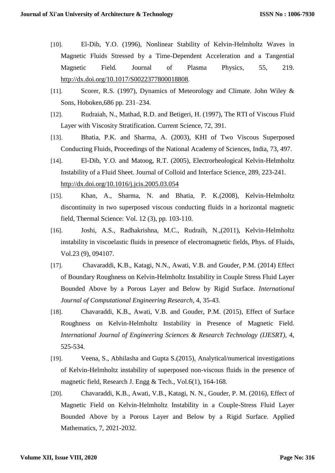- [10]. El-Dib, Y.O. (1996), Nonlinear Stability of Kelvin-Helmholtz Waves in Magnetic Fluids Stressed by a Time-Dependent Acceleration and a Tangential Magnetic Field. Journal of Plasma Physics, 55, 219. [http://dx.doi.org/10.1017/S0022377800018808.](http://dx.doi.org/10.1017/S0022377800018808)
- [11]. Scorer, R.S. (1997), Dynamics of Meteorology and Climate. John Wiley & Sons, Hoboken,686 pp. 231–234.
- [12]. Rudraiah, N., Mathad, R.D. and Betigeri, H. (1997), The RTI of Viscous Fluid Layer with Viscosity Stratification. Current Science, 72, 391.
- [13]. Bhatia, P.K. and Sharma, A. (2003), KHI of Two Viscous Superposed Conducting Fluids, Proceedings of the National Academy of Sciences, India, 73, 497.
- [14]. El-Dib, Y.O. and Matoog, R.T. (2005), Electrorheological Kelvin-Helmholtz Instability of a Fluid Sheet. Journal of Colloid and Interface Science, 289, 223-241. <http://dx.doi.org/10.1016/j.jcis.2005.03.054>
- [15]. Khan, A., Sharma, N. and Bhatia, P. K.(2008), Kelvin-Helmholtz discontinuity in two superposed viscous conducting fluids in a horizontal magnetic field, Thermal Science: Vol. 12 (3), pp. 103-110.
- [16]. Joshi, A.S., Radhakrishna, M.C., Rudraih, N.,(2011), Kelvin-Helmholtz instability in viscoelastic fluids in presence of electromagnetic fields, Phys. of Fluids, Vol.23 (9), 094107.
- [17]. Chavaraddi, K.B., Katagi, N.N., Awati, V.B. and Gouder, P.M. (2014) Effect of Boundary Roughness on Kelvin-Helmholtz Instability in Couple Stress Fluid Layer Bounded Above by a Porous Layer and Below by Rigid Surface. *International Journal of Computational Engineering Research*, 4, 35-43.
- [18]. Chavaraddi, K.B., Awati, V.B. and Gouder, P.M. (2015), Effect of Surface Roughness on Kelvin-Helmholtz Instability in Presence of Magnetic Field. *International Journal of Engineering Sciences & Research Technology (IJESRT)*, 4, 525-534.
- [19]. Veena, S., Abhilasha and Gupta S.(2015), Analytical/numerical investigations of Kelvin-Helmholtz instability of superposed non-viscous fluids in the presence of magnetic field, Research J. Engg & Tech., Vol.6(1), 164-168.
- [20]. Chavaraddi, K.B., Awati, V.B., Katagi, N. N., Gouder, P. M. (2016), Effect of Magnetic Field on Kelvin-Helmholtz Instability in a Couple-Stress Fluid Layer Bounded Above by a Porous Layer and Below by a Rigid Surface. Applied Mathematics, 7, 2021-2032.